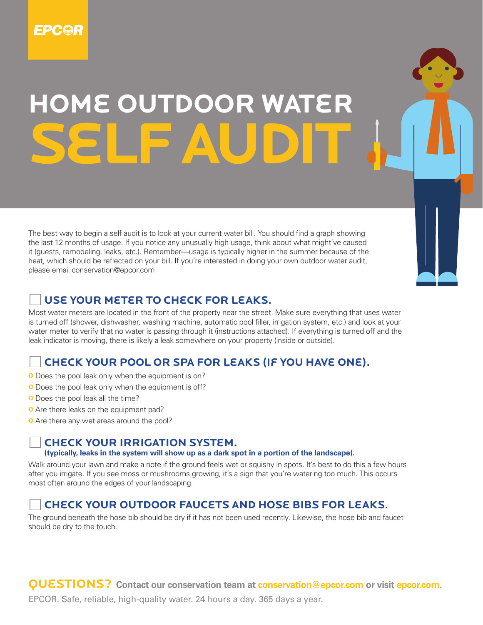

# **HOMe outdoor WATeR SeLF AUDIT**

The best way to begin a self audit is to look at your current water bill. You should find a graph showing the last 12 months of usage. If you notice any unusually high usage, think about what might've caused it (guests, remodeling, leaks, etc.). Remember—usage is typically higher in the summer because of the heat, which should be reflected on your bill. If you're interested in doing your own outdoor water audit, please email conservation@epcor.com

### **Use your meter to CheCk For leaks.**

Most water meters are located in the front of the property near the street. Make sure everything that uses water is turned off (shower, dishwasher, washing machine, automatic pool filler, irrigation system, etc.) and look at your water meter to verify that no water is passing through it (instructions attached). If everything is turned off and the leak indicator is moving, there is likely a leak somewhere on your property (inside or outside).

## **CheCk your pool or spa For leaks (if you have one).**

- O Does the pool leak only when the equipment is on?
- O Does the pool leak only when the equipment is off?
- **O** Does the pool leak all the time?
- **O** Are there leaks on the equipment pad?
- **O** Are there any wet areas around the pool?

#### **CheCk your irrigation system.**

**(typically, leaks in the system will show up as a dark spot in a portion of the landscape).**

Walk around your lawn and make a note if the ground feels wet or squishy in spots. It's best to do this a few hours after you irrigate. If you see moss or mushrooms growing, it's a sign that you're watering too much. This occurs most often around the edges of your landscaping.

# **CheCk your outdoor FauCets and hose bibs For leaks.**

The ground beneath the hose bib should be dry if it has not been used recently. Likewise, the hose bib and faucet should be dry to the touch.

**QUeSTIonS? Contact our conservation team at conservation@epcor.com or visit epcor.com.**

EPCOR. Safe, reliable, high-quality water. 24 hours a day. 365 days a year.